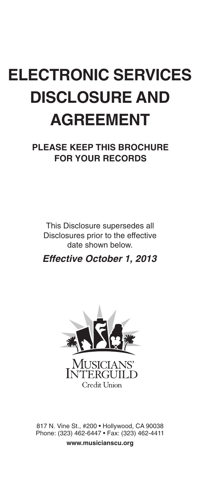# **ELECTRONIC SERVICES DISCLOSURE AND AGREEMENT**

**PLEASE KEEP THIS BROCHURE FOR YOUR RECORDS**

This Disclosure supersedes all Disclosures prior to the effective date shown below.

*Effective October 1, 2013*



817 N. Vine St., #200 • Hollywood, CA 90038 Phone: (323) 462-6447 • Fax: (323) 462-4411 **www.musicianscu.org**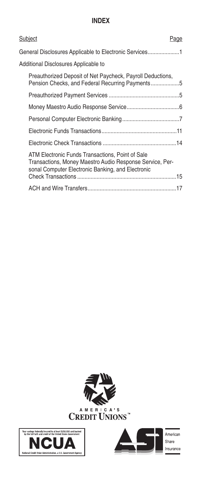## **INDEX**

| Subject<br>Page                                                                                                                                                   |  |
|-------------------------------------------------------------------------------------------------------------------------------------------------------------------|--|
| General Disclosures Applicable to Electronic Services1                                                                                                            |  |
| Additional Disclosures Applicable to                                                                                                                              |  |
| Preauthorized Deposit of Net Paycheck, Payroll Deductions,<br>Pension Checks, and Federal Recurring Payments5                                                     |  |
|                                                                                                                                                                   |  |
|                                                                                                                                                                   |  |
|                                                                                                                                                                   |  |
|                                                                                                                                                                   |  |
|                                                                                                                                                                   |  |
| ATM Electronic Funds Transactions, Point of Sale<br>Transactions, Money Maestro Audio Response Service, Per-<br>sonal Computer Electronic Banking, and Electronic |  |
|                                                                                                                                                                   |  |





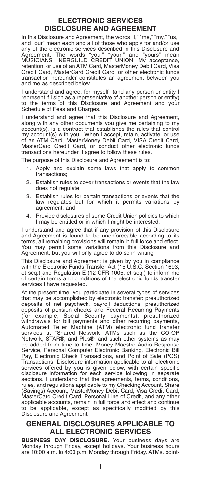## **ELECTRONIC SERVICES DISCLOSURE AND AGREEMENT**

In this Disclosure and Agreement, the words "I," "me," "my," "us," and "our" mean each and all of those who apply for and/or use any of the electronic services described in this Disclosure and Agreement. The words "you," "your," and "yours" mean MUSICIANS' INERGUILD CREDIT UNION. My acceptance, retention, or use of an ATM Card, MasterMoney Debit Card, Visa Credit Card, MasterCard Credit Card, or other electronic funds transaction hereunder constitutes an agreement between you and me as described below.

I understand and agree, for myself (and any person or entity I represent if I sign as a representative of another person or entity) to the terms of this Disclosure and Agreement and your Schedule of Fees and Charges.

I understand and agree that this Disclosure and Agreement, along with any other documents you give me pertaining to my account(s), is a contract that establishes the rules that control my account(s) with you. When I accept, retain, activate, or use of an ATM Card, MasterMoney Debit Card, VISA Credit Card, MasterCard Credit Card, or conduct other electronic funds transactions hereunder, I agree to follow these rules.

The purpose of this Disclosure and Agreement is to:

- 1. Apply and explain some laws that apply to common transactions;
- 2. Establish rules to cover transactions or events that the law does not regulate;
- 3. Establish rules for certain transactions or events that the law regulates but for which it permits variations by agreement; and
- 4. Provide disclosures of some Credit Union policies to which I may be entitled or in which I might be interested.

I understand and agree that if any provision of this Disclosure and Agreement is found to be unenforceable according to its terms, all remaining provisions will remain in full force and effect. You may permit some variations from this Disclosure and Agreement, but you will only agree to do so in writing.

This Disclosure and Agreement is given by you in compliance with the Electronic Funds Transfer Act (15 U.S.C. Section 1693, et seq.) and Regulation E (12 CFR 1005, et seq.) to inform me of certain terms and conditions of the electronic funds transfer services I have requested.

At the present time, you participate in several types of services that may be accomplished by electronic transfer: preauthorized deposits of net paycheck, payroll deductions, preauthorized deposits of pension checks and Federal Recurring Payments (for example, Social Security payments), preauthorized withdrawals for bill payments and other recurring payments, Automated Teller Machine (ATM) electronic fund transfer services at "Shared Network" ATMs such as the CO-OP Network, STAR®, and Plus®, and such other systems as may be added from time to time, Money Maestro Audio Response Service, Personal Computer Electronic Banking, Electronic Bill Pay, Electronic Check Transactions, and Point of Sale (POS) Transactions. Disclosure information applicable to all electronic services offered by you is given below, with certain specific disclosure information for each service following in separate sections. I understand that the agreements, terms, conditions, rules, and regulations applicable to my Checking Account, Share (Savings) Account, MasterMoney Debit Card, Visa Credit Card, MasterCard Credit Card, Personal Line of Credit, and any other applicable accounts, remain in full force and effect and continue to be applicable, except as specifically modified by this Disclosure and Agreement.

## **GENERAL DISCLOSURES APPLICABLE TO ALL ELECTRONIC SERVICES**

**BUSINESS DAY DISCLOSURE.** Your business days are Monday through Friday, except holidays. Your business hours are 10:00 a.m. to 4:00 p.m. Monday through Friday. ATMs, point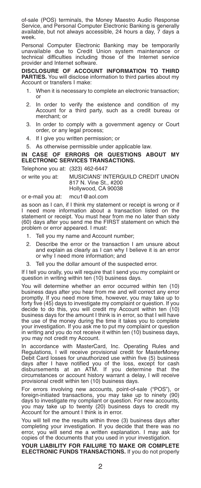of-sale (POS) terminals, the Money Maestro Audio Response Service, and Personal Computer Electronic Banking is generally available, but not always accessible, 24 hours a day, 7 days a week.

Personal Computer Electronic Banking may be temporarily unavailable due to Credit Union system maintenance or technical difficulties including those of the Internet service provider and Internet software.

**DISCLOSURE OF ACCOUNT INFORMATION TO THIRD PARTIES.** You will disclose information to third parties about my Account or transfers I make:

- 1. When it is necessary to complete an electronic transaction; or
- 2. In order to verify the existence and condition of my Account for a third party, such as a credit bureau or merchant; or
- 3. In order to comply with a government agency or Court order, or any legal process;
- 4. If I give you written permission; or
- 5. As otherwise permissible under applicable law.

#### **IN CASE OF ERRORS OR QUESTIONS ABOUT MY ELECTRONIC SERVICES TRANSACTIONS.**

#### Telephone you at: (323) 462-6447

or write you at: MUSICIANS' INTERGUILD CREDIT UNION 817 N. Vine St., #200 Hollywood, CA 90038

#### or e-mail you at: mcu1@aol.com

as soon as I can, if I think my statement or receipt is wrong or if I need more information about a transaction listed on the statement or receipt. You must hear from me no later than sixty (60) days after you send me the FIRST statement on which the problem or error appeared. I must:

- 1. Tell you my name and Account number;
- 2. Describe the error or the transaction I am unsure about and explain as clearly as I can why I believe it is an error or why I need more information; and
- 3. Tell you the dollar amount of the suspected error.

If I tell you orally, you will require that I send you my complaint or question in writing within ten (10) business days.

You will determine whether an error occurred within ten (10) business days after you hear from me and will correct any error promptly. If you need more time, however, you may take up to forty five (45) days to investigate my complaint or question. If you decide to do this, you will credit my Account within ten (10) business days for the amount I think is in error, so that I will have the use of the money during the time it takes you to complete your investigation. If you ask me to put my complaint or question in writing and you do not receive it within ten (10) business days, you may not credit my Account.

In accordance with MasterCard, Inc. Operating Rules and Regulations, I will receive provisional credit for MasterMoney Debit Card losses for unauthorized use within five (5) business days after I have notified you of the loss, except for cash disbursements at an ATM. If you determine that the circumstances or account history warrant a delay, I will receive provisional credit within ten (10) business days.

For errors involving new accounts, point-of-sale ("POS"), or foreign-initiated transactions, you may take up to ninety (90) days to investigate my compliant or question. For new accounts, you may take up to twenty (20) business days to credit my Account for the amount I think is in error.

You will tell me the results within three (3) business days after completing your investigation. If you decide that there was no error, you will send me a written explanation. I may ask for copies of the documents that you used in your investigation.

#### **YOUR LIABILITY FOR FAILURE TO MAKE OR COMPLETE ELECTRONIC FUNDS TRANSACTIONS.** If you do not properly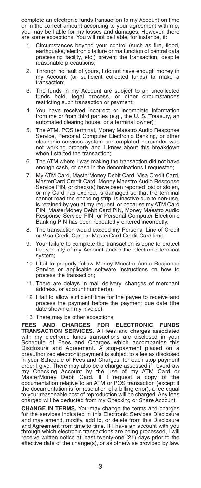complete an electronic funds transaction to my Account on time or in the correct amount according to your agreement with me, you may be liable for my losses and damages. However, there are some exceptions. You will not be liable, for instance, if:

- Circumstances beyond your control (such as fire, flood, earthquake, electronic failure or malfunction of central data processing facility, etc.) prevent the transaction, despite reasonable precautions;
- 2. Through no fault of yours, I do not have enough money in my Account (or sufficient collected funds) to make a transaction;
- 3. The funds in my Account are subject to an uncollected funds hold, legal process, or other circumstances restricting such transaction or payment;
- 4. You have received incorrect or incomplete information from me or from third parties (e.g., the U. S. Treasury, an automated clearing house, or a terminal owner);
- 5. The ATM, POS terminal, Money Maestro Audio Response Service, Personal Computer Electronic Banking, or other electronic services system contemplated hereunder was not working properly and I knew about this breakdown when I started the transaction;
- 6. The ATM where I was making the transaction did not have enough cash, or cash in the denominations I requested;
- 7. My ATM Card, MasterMoney Debit Card, Visa Credit Card, MasterCard Credit Card, Money Maestro Audio Response Service PIN, or check(s) have been reported lost or stolen. or my Card has expired, is damaged so that the terminal cannot read the encoding strip, is inactive due to non-use, is retained by you at my request, or because my ATM Card PIN, MasterMoney Debit Card PIN, Money Maestro Audio Response Service PIN, or Personal Computer Electronic Banking PIN has been repeatedly entered incorrectly;
- 8. The transaction would exceed my Personal Line of Credit or Visa Credit Card or MasterCard Credit Card limit;
- 9. Your failure to complete the transaction is done to protect the security of my Account and/or the electronic terminal system;
- 10. I fail to properly follow Money Maestro Audio Response Service or applicable software instructions on how to process the transaction:
- 11. There are delays in mail delivery, changes of merchant address, or account number(s);
- 12. I fail to allow sufficient time for the payee to receive and process the payment before the payment due date (the date shown on my invoice);
- 13. There may be other exceptions.

**FEES AND CHARGES FOR ELECTRONIC FUNDS TRANSACTION SERVICES.** All fees and charges associated with my electronic funds transactions are disclosed in your Schedule of Fees and Charges which accompanies this Disclosure and Agreement. A stop-payment placed on a preauthorized electronic payment is subject to a fee as disclosed in your Schedule of Fees and Charges, for each stop payment order I give. There may also be a charge assessed if I overdraw my Checking Account by the use of my ATM Card or MasterMoney Debit Card. If I request a copy of the documentation relative to an ATM or POS transaction (except if the documentation is for resolution of a billing error), a fee equal to your reasonable cost of reproduction will be charged. Any fees charged will be deducted from my Checking or Share Account.

**CHANGE IN TERMS.** You may change the terms and charges for the services indicated in this Electronic Services Disclosure and may amend, modify, add to, or delete from this Disclosure and Agreement from time to time. If I have an account with you through which electronic transactions are being processed, I will receive written notice at least twenty-one (21) days prior to the effective date of the change(s), or as otherwise provided by law.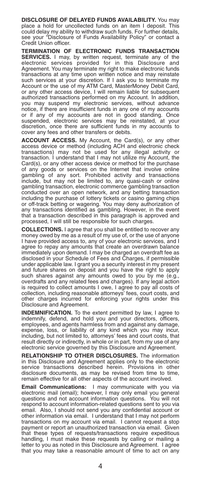**DISCLOSURE OF DELAYED FUNDS AVAILABILITY.** You may place a hold for uncollected funds on an item I deposit. This could delay my ability to withdraw such funds. For further details, see your "Disclosure of Funds Availability Policy" or contact a Credit Union officer.

**TERMINATION OF ELECTRONIC FUNDS TRANSACTION SERVICES.** I may, by written request, terminate any of the electronic services provided for in this Disclosure and Agreement. You may terminate my right to make electronic funds transactions at any time upon written notice and may reinstate such services at your discretion. If I ask you to terminate my Account or the use of my ATM Card, MasterMoney Debit Card, or any other access device, I will remain liable for subsequent authorized transactions performed on my Account. In addition, you may suspend my electronic services, without advance notice, if there are insufficient funds in any one of my accounts or if any of my accounts are not in good standing. Once suspended, electronic services may be reinstated, at your discretion, once there are sufficient funds in my accounts to cover any fees and other transfers or debits.

**ACCOUNT ACCESS.** My Account, the Card(s), or any other access device or method (including ACH and electronic check transactions) may not be used for any illegal activity or transaction. I understand that I may not utilize my Account, the Card(s), or any other access device or method for the purchase of any goods or services on the Internet that involve online gambling of any sort. Prohibited activity and transactions include, but may not be limited to, any quasi-cash or online gambling transaction, electronic commerce gambling transaction conducted over an open network, and any betting transaction including the purchase of lottery tickets or casino gaming chips or off-track betting or wagering. You may deny authorization of any transactions identified as gambling. However, in the event that a transaction described in this paragraph is approved and processed, I will still be responsible for such charges.

**COLLECTIONS.** I agree that you shall be entitled to recover any money owed by me as a result of my use of, or the use of anyone I have provided access to, any of your electronic services, and I agree to repay any amounts that create an overdrawn balance immediately upon demand. I may be charged an overdraft fee as disclosed in your Schedule of Fees and Charges, if permissible under applicable law. I grant you a security interest in my present and future shares on deposit and you have the right to apply such shares against any amounts owed to you by me (e.g., overdrafts and any related fees and charges). If any legal action is required to collect amounts I owe, I agree to pay all costs of collection, including reasonable attorneys' fees, court costs, and other charges incurred for enforcing your rights under this Disclosure and Agreement.

**INDEMNIFICATION.** To the extent permitted by law, I agree to indemnify, defend, and hold you and your directors, officers, employees, and agents harmless from and against any damage, expense, loss, or liability of any kind which you may incur, including, but not limited to, attorneys' fees and court costs, that result directly or indirectly, in whole or in part, from my use of any electronic service governed by this Disclosure and Agreement.

**RELATIONSHIP TO OTHER DISCLOSURES.** The information in this Disclosure and Agreement applies only to the electronic service transactions described herein. Provisions in other disclosure documents, as may be revised from time to time, remain effective for all other aspects of the account involved.

**Email Communications:** I may communicate with you via electronic mail (email); however, I may only email you general questions and not account information questions. You will not respond to account information-related questions sent to you via email. Also, I should not send you any confidential account or other information via email. I understand that I may not perform transactions on my account via email. I cannot request a stop payment or report an unauthorized transaction via email. Given that these types of requests/transactions require expeditious handling, I must make these requests by calling or mailing a letter to you as noted in this Disclosure and Agreement. I agree that you may take a reasonable amount of time to act on any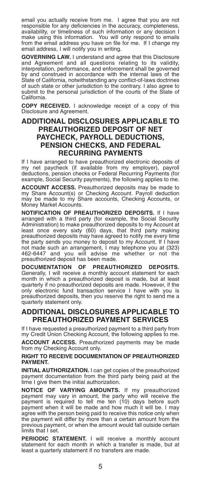email you actually receive from me. I agree that you are not responsible for any deficiencies in the accuracy, completeness, availability, or timeliness of such information or any decision I make using this information. You will only respond to emails from the email address you have on file for me. If I change my email address, I will notify you in writing.

**GOVERNING LAW.** I understand and agree that this Disclosure and Agreement and all questions relating to its validity, interpretation, performance, and enforcement shall be governed by and construed in accordance with the internal laws of the State of California, notwithstanding any conflict-of-laws doctrines of such state or other jurisdiction to the contrary. I also agree to submit to the personal jurisdiction of the courts of the State of California.

**COPY RECEIVED.** I acknowledge receipt of a copy of this Disclosure and Agreement.

## **ADDITIONAL DISCLOSURES APPLICABLE TO PREAUTHORIZED DEPOSIT OF NET PAYCHECK, PAYROLL DEDUCTIONS, PENSION CHECKS, AND FEDERAL RECURRING PAYMENTS**

If I have arranged to have preauthorized electronic deposits of my net paycheck (if available from my employer), payroll deductions, pension checks or Federal Recurring Payments (for example, Social Security payments), the following applies to me.

**ACCOUNT ACCESS.** Preauthorized deposits may be made to my Share Account(s) or Checking Account. Payroll deduction may be made to my Share accounts, Checking Accounts, or Money Market Accounts.

**NOTIFICATION OF PREAUTHORIZED DEPOSITS.** If I have arranged with a third party (for example, the Social Security Administration) to make preauthorized deposits to my Account at least once every sixty (60) days, that third party making preauthorized deposits may have agreed to notify me every time the party sends you money to deposit to my Account. If I have not made such an arrangement, I may telephone you at (323)<br>462-6447 and you will advise me whether or not the 462-6447 and you will advise me whether or not preauthorized deposit has been made.

**DOCUMENTATION OF PREAUTHORIZED DEPOSITS.** Generally, I will receive a monthly account statement for each month in which a preauthorized deposit is made, but at least quarterly if no preauthorized deposits are made. However, if the only electronic fund transaction service I have with you is preauthorized deposits, then you reserve the right to send me a quarterly statement only.

## **ADDITIONAL DISCLOSURES APPLICABLE TO PREAUTHORIZED PAYMENT SERVICES**

If I have requested a preauthorized payment to a third party from my Credit Union Checking Account, the following applies to me.

**ACCOUNT ACCESS.** Preauthorized payments may be made from my Checking Account only.

#### **RIGHT TO RECEIVE DOCUMENTATION OF PREAUTHORIZED PAYMENT.**

**INITIAL AUTHORIZATION.** I can get copies of the preauthorized payment documentation from the third party being paid at the time I give them the initial authorization.

**NOTICE OF VARYING AMOUNTS.** If my preauthorized payment may vary in amount, the party who will receive the payment is required to tell me ten (10) days before such payment when it will be made and how much it will be. I may agree with the person being paid to receive this notice only when the payment will differ by more than a certain amount from the previous payment, or when the amount would fall outside certain limits that I set.

**PERIODIC STATEMENT.** I will receive a monthly account statement for each month in which a transfer is made, but at least a quarterly statement if no transfers are made.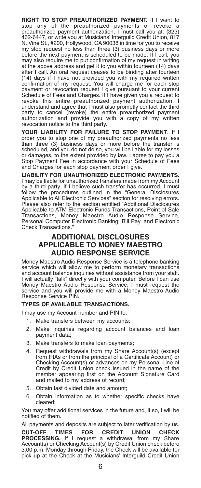**RIGHT TO STOP PREAUTHORIZED PAYMENT.** If I want to stop any of the preauthorized payments or revoke preauthorized payment authorization, I must call you at: (323) 462-6447, or write you at Musicians' Interguild Credit Union, 817 N. Vine St., #200, Hollywood, CA 90038 in time for you to receive my stop request no less than three (3) business days or more before the next payment is scheduled to be made. If I call, you may also require me to put confirmation of my request in writing at the above address and get it to you within fourteen (14) days after I call. An oral request ceases to be binding after fourteen (14) days if I have not provided you with my required written confirmation of my request. You will charge me for each stop payment or revocation request I give pursuant to your current Schedule of Fees and Charges. If I have given you a request to revoke this entire preauthorized payment authorization, I understand and agree that I must also promptly contact the third party to cancel (revoke) the entire preauthorized payment authorization and provide you with a copy of my written revocation notice to the third party.

**YOUR LIABILITY FOR FAILURE TO STOP PAYMENT**. If I order you to stop one of my preauthorized payments no less than three (3) business days or more before the transfer is scheduled, and you do not do so, you will be liable for my losses or damages, to the extent provided by law. I agree to pay you a Stop Payment Fee in accordance with your Schedule of Fees and Charges for each stop payment order I give.

**LIABILITY FOR UNAUTHORIZED ELECTRONIC PAYMENTS.** I may be liable for unauthorized transfers made from my Account by a third party. If I believe such transfer has occurred, I must follow the procedures outlined in the "General Disclosures Applicable to All Electronic Services" section for resolving errors. Please also refer to the section entitled "Additional Disclosures Applicable to ATM Electronic Funds Transactions, Point of Sale Transactions, Money Maestro Audio Response Service, Personal Computer Electronic Banking, Bill Pay, and Electronic Check Transactions."

## **ADDITIONAL DISCLOSURES APPLICABLE TO MONEY MAESTRO AUDIO RESPONSE SERVICE**

Money Maestro Audio Response Service is a telephone banking service which will allow me to perform monetary transactions and account balance inquiries without assistance from your staff. I will actually "talk" directly with your computer. Before I can use Money Maestro Audio Response Service, I must request the service and you will provide me with a Money Maestro Audio Response Service PIN.

#### **TYPES OF AVAILABLE TRANSACTIONS.**

I may use my Account number and PIN to:

- 1. Make transfers between my accounts;
- 2. Make inquiries regarding account balances and loan payment data;
- 3. Make transfers to make loan payments;
- 4. Request withdrawals from my Share Account(s) (except from IRAs or from the principal of a Certificate Account) or Checking Account(s) or advances on my Personal Line of Credit by Credit Union check issued in the name of the member appearing first on the Account Signature Card and mailed to my address of record;
- 5. Obtain last divided date and amount;
- 6. Obtain information as to whether specific checks have cleared;

You may offer additional services in the future and, if so, I will be notified of them.

All payments and deposits are subject to later verification by us. **CUT-OFF TIMES FOR CREDIT UNION CHECK PROCESSING.** If I request a withdrawal from my Share Account(s) or Checking Account(s) by Credit Union check before 3:00 p.m. Monday through Friday, the Check will be available for pick up at the Check at the Musicians' Interguild Credit Union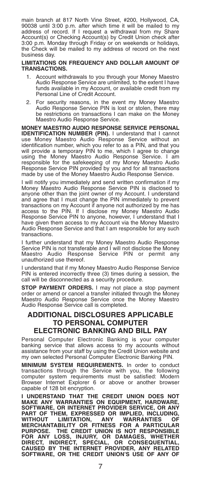main branch at 817 North Vine Street, #200, Hollywood, CA, 90038 until 3:00 p.m. after which time it will be mailed to my address of record. If I request a withdrawal from my Share Account(s) or Checking Account(s) by Credit Union check after 3:00 p.m. Monday through Friday or on weekends or holidays, the Check will be mailed to my address of record on the next business day.

**LIMITATIONS ON FREQUENCY AND DOLLAR AMOUNT OF TRANSACTIONS.**

- Account withdrawals to you through your Money Maestro Audio Response Service are unlimited, to the extent I have funds available in my Account, or available credit from my Personal Line of Credit Account.
- 2. For security reasons, in the event my Money Maestro Audio Response Service PIN is lost or stolen, there may be restrictions on transactions I can make on the Money Maestro Audio Response Service.

**MONEY MAESTRO AUDIO RESPONSE SERVICE PERSONAL IDENTIFICATION NUMBER (PIN).** I understand that I cannot use Money Maestro Audio Response Service without an identification number, which you refer to as a PIN, and that you will provide a temporary PIN to me, which I agree to change using the Money Maestro Audio Response Service. I am responsible for the safekeeping of my Money Maestro Audio Response Service PIN provided by you and for all transactions made by use of the Money Maestro Audio Response Service.

I will notify you immediately and send written confirmation if my Money Maestro Audio Response Service PIN is disclosed to anyone other than the joint owner of my Account. I understand and agree that I must change the PIN immediately to prevent transactions on my Account if anyone not authorized by me has access to the PIN. If I disclose my Money Maestro Audio Response Service PIN to anyone, however, I understand that I have given them access to my Account via the Money Maestro Audio Response Service and that I am responsible for any such transactions.

I further understand that my Money Maestro Audio Response Service PIN is not transferable and I will not disclose the Money Maestro Audio Response Service PIN or permit any unauthorized use thereof.

I understand that if my Money Maestro Audio Response Service PIN is entered incorrectly three (3) times during a session, the call will be disconnected as a security procedure.

**STOP PAYMENT ORDERS.** I may not place a stop payment order or amend or cancel a transfer initiated through the Money Maestro Audio Response Service once the Money Maestro Audio Response Service call is completed.

## **ADDITIONAL DISCLOSURES APPLICABLE TO PERSONAL COMPUTER ELECTRONIC BANKING AND BILL PAY**

Personal Computer Electronic Banking is your computer banking service that allows access to my accounts without assistance from your staff by using the Credit Union website and my own selected Personal Computer Electronic Banking PIN.

**MINIMUM SYSTEM REQUIREMENTS.** In order to conduct transactions through the Service with you, the following computer system requirements must be satisfied: Modern Browser Internet Explorer 6 or above or another browser capable of 128 bit encryption.

**I UNDERSTAND THAT THE CREDIT UNION DOES NOT MAKE ANY WARRANTIES ON EQUIPMENT, HARDWARE, SOFTWARE, OR INTERNET PROVIDER SERVICE, OR ANY PART OF THEM, EXPRESSED OR IMPLIED, INCLUDING, WITHOUT LIMITATION, ANY WARRANTIES OF MERCHANTABILITY OR FITNESS FOR A PARTICULAR PURPOSE. THE CREDIT UNION IS NOT RESPONSIBLE** FOR ANY LOSS, INJURY, OR DAMAGES, WHETHER<br>DIRECT, INDIRECT, SPECIAL, OR CONSEQUENTIAL,<br>CAUSED BY THE INTERNET PROVIDER, ANY RELATED<br>SOFTWARE, OR THE CREDIT UNION'S USE OF ANY OF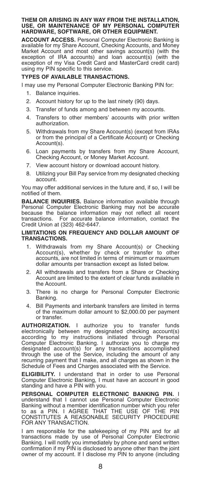# **THEM OR ARISING IN ANY WAY FROM THE INSTALLATION, USE, OR MAINTENANCE OF MY PERSONAL COMPUTER HARDWARE, SOFTWARE, OR OTHER EQUIPMENT.**

**ACCOUNT ACCESS.** Personal Computer Electronic Banking is available for my Share Account, Checking Accounts, and Money Market Account and most other savings account(s) (with the exception of IRA accounts) and loan account(s) (with the exception of my Visa Credit Card and MasterCard credit card) using my PIN specific to this service.

#### **TYPES OF AVAILABLE TRANSACTIONS.**

I may use my Personal Computer Electronic Banking PIN for:

- 1. Balance inquiries.
- 2. Account history for up to the last ninety (90) days.
- 3. Transfer of funds among and between my accounts.
- 4. Transfers to other members' accounts with prior written authorization.
- 5. Withdrawals from my Share Account(s) (except from IRAs or from the principal of a Certificate Account) or Checking Account(s).
- 6. Loan payments by transfers from my Share Account, Checking Account, or Money Market Account.
- 7. View account history or download account history.
- 8. Utilizing your Bill Pay service from my designated checking account.

You may offer additional services in the future and, if so, I will be notified of them.

**BALANCE INQUIRIES.** Balance information available through Personal Computer Electronic Banking may not be accurate because the balance information may not reflect all recent transactions. For accurate balance information, contact the Credit Union at (323) 462-6447.

#### **LIMITATIONS ON FREQUENCY AND DOLLAR AMOUNT OF TRANSACTIONS.**

- 1. Withdrawals from my Share Account(s) or Checking Account(s), whether by check or transfer to other accounts, are not limited in terms of minimum or maximum dollar amounts per transaction except as listed below.
- 2. All withdrawals and transfers from a Share or Checking Account are limited to the extent of clear funds available in the Account.
- 3. There is no charge for Personal Computer Electronic Banking.
- 4. Bill Payments and interbank transfers are limited in terms of the maximum dollar amount to \$2,000.00 per payment or transfer.

**AUTHORIZATION.** I authorize you to transfer funds electronically between my designated checking account(s) according to my instructions initiated through Personal Computer Electronic Banking. I authorize you to charge my designated account(s) for any transactions accomplished through the use of the Service, including the amount of any recurring payment that I make, and all charges as shown in the Schedule of Fees and Charges associated with the Service.

**ELIGIBILITY.** I understand that in order to use Personal Computer Electronic Banking, I must have an account in good standing and have a PIN with you.

**PERSONAL COMPUTER ELECTRONIC BANKING PIN.** I understand that I cannot use Personal Computer Electronic Banking without a member identification number which you refer to as a PIN. I AGREE THAT THE USE OF THE PIN CONSTITUTES A REASONABLE SECURITY PROCEDURE FOR ANY TRANSACTION.

I am responsible for the safekeeping of my PIN and for all transactions made by use of Personal Computer Electronic Banking. I will notify you immediately by phone and send written confirmation if my PIN is disclosed to anyone other than the joint owner of my account. If I disclose my PIN to anyone (including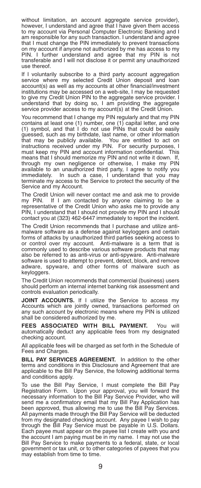without limitation, an account aggregate service provider), however, I understand and agree that I have given them access to my account via Personal Computer Electronic Banking and I am responsible for any such transaction. I understand and agree that I must change the PIN immediately to prevent transactions on my account if anyone not authorized by me has access to my PIN. I further understand and agree that my PIN is not transferable and I will not disclose it or permit any unauthorized use thereof.

If I voluntarily subscribe to a third party account aggregation service where my selected Credit Union deposit and loan account(s) as well as my accounts at other financial/investment institutions may be accessed on a web-site, I may be requested to give my Credit Union PIN to the aggregate service provider. I understand that by doing so, I am providing the aggregate service provider access to my account(s) at the Credit Union.

You recommend that I change my PIN regularly and that my PIN contains at least one (1) number, one (1) capital letter, and one (1) symbol, and that I do not use PINs that could be easily guessed, such as my birthdate, last name, or other information that may be publicly available. You are entitled to act on instructions received under my PIN. For security purposes, I must keep my PIN and account information confidential. This means that I should memorize my PIN and not write it down. If, through my own negligence or otherwise, I make my PIN available to an unauthorized third party, I agree to notify you immediately. In such a case, I understand that you may terminate my access to the Service to protect the security of the Service and my Account.

The Credit Union will never contact me and ask me to provide my PIN. If I am contacted by anyone claiming to be a representative of the Credit Union who asks me to provide any PIN, I understand that I should not provide my PIN and I should contact you at (323) 462-6447 immediately to report the incident.

The Credit Union recommends that I purchase and utilize antimalware software as a defense against keyloggers and certain forms of attacks by unauthorized third parties seeking access to or control over my account. Anti-malware is a term that is commonly used to describe various software products that may also be referred to as anti-virus or anti-spyware. Anti-malware software is used to attempt to prevent, detect, block, and remove adware, spyware, and other forms of malware such as keyloggers.

The Credit Union recommends that commercial (business) users should perform an internal internet banking risk assessment and controls evaluation periodically.

**JOINT ACCOUNTS.** If I utilize the Service to access my Accounts which are jointly owned, transactions performed on any such account by electronic means where my PIN is utilized shall be considered authorized by me.

**FEES ASSOCIATED WITH BILL PAYMENT.** You will automatically deduct any applicable fees from my designated checking account.

All applicable fees will be charged as set forth in the Schedule of Fees and Charges.

**BILL PAY SERVICES AGREEMENT.** In addition to the other terms and conditions in this Disclosure and Agreement that are applicable to the Bill Pay Service, the following additional terms and conditions apply.

To use the Bill Pay Service, I must complete the Bill Pay Registration Form. Upon your approval, you will forward the necessary information to the Bill Pay Service Provider, who will send me a confirmatory email that my Bill Pay Application has been approved, thus allowing me to use the Bill Pay Services. All payments made through the Bill Pay Service will be deducted from my designated checking account. Any payee I wish to pay through the Bill Pay Service must be payable in U.S. Dollars. Each payee must appear on the payee list I create with you and the account I am paying must be in my name. I may not use the Bill Pay Service to make payments to a federal, state, or local government or tax unit, or to other categories of payees that you may establish from time to time.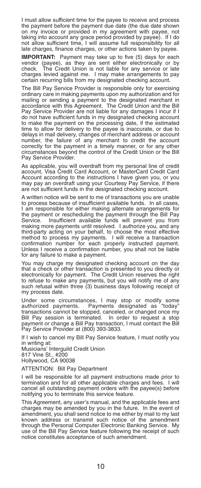I must allow sufficient time for the payee to receive and process the payment before the payment due date (the due date shown on my invoice or provided in my agreement with payee, not taking into account any grace period provided by payee). If I do not allow sufficient time, I will assume full responsibility for all late charges, finance charges, or other actions taken by payee.

**IMPORTANT:** Payment may take up to five (5) days for each vendor (payee), as they are sent either electronically or by The Credit Union is not liable for any service or late charges levied against me. I may make arrangements to pay certain recurring bills from my designated checking account.

The Bill Pay Service Provider is responsible only for exercising ordinary care in making payments upon my authorization and for mailing or sending a payment to the designated merchant in accordance with this Agreement. The Credit Union and the Bill Pay Service Provider are not liable for any damages I incur if I do not have sufficient funds in my designated checking account to make the payment on the processing date, if the estimated time to allow for delivery to the payee is inaccurate, or due to delays in mail delivery, changes of merchant address or account number, the failure of any merchant to credit the account correctly for the payment in a timely manner, or for any other circumstances beyond the control of the Credit Union or the Bill Pay Service Provider.

As applicable, you will overdraft from my personal line of credit account, Visa Credit Card Account, or MasterCard Credit Card Account according to the instructions I have given you, or you may pay an overdraft using your Courtesy Pay Service, if there are not sufficient funds in the designated checking account.

A written notice will be sent to me of transactions you are unable to process because of insufficient available funds. In all cases, I am responsible for either making alternate arrangements for the payment or rescheduling the payment through the Bill Pay Service. Insufficient available funds will prevent you from making more payments until resolved. I authorize you, and any third-party acting on your behalf, to choose the most effective method to process my payments. I will receive a transaction confirmation number for each properly instructed payment. Unless I receive a confirmation number, you shall not be liable for any failure to make a payment.

You may charge my designated checking account on the day that a check or other transaction is presented to you directly or electronically for payment. The Credit Union reserves the right to refuse to make any payments, but you will notify me of any such refusal within three (3) business days following receipt of my process date.

Under some circumstances, I may stop or modify some authorized payments. Payments designated as "today" transactions cannot be stopped, canceled, or changed once my Bill Pay session is terminated. In order to request a stop payment or change a Bill Pay transaction, I must contact the Bill Pay Service Provider at (800) 393-3833.

If I wish to cancel my Bill Pay Service feature, I must notify you in writing at:

Musicians' Interguild Credit Union 817 Vine St., #200 Hollywood, CA 90038

ATTENTION: Bill Pay Department

I will be responsible for all payment instructions made prior to termination and for all other applicable charges and fees. I will cancel all outstanding payment orders with the payee(s) before notifying you to terminate this service feature.

This Agreement, any user's manual, and the applicable fees and charges may be amended by you in the future. In the event of amendment, you shall send notice to me either by mail to my last known address or transmit such notice of the amendment through the Personal Computer Electronic Banking Service. My use of the Bill Pay Service feature following the receipt of such notice constitutes acceptance of such amendment.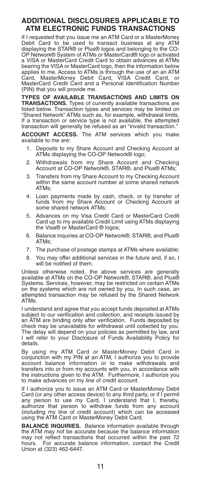## **ADDITIONAL DISCLOSURES APPLICABLE TO ATM ELECTRONIC FUNDS TRANSACTIONS**

If I requested that you issue me an ATM Card or a MasterMoney Debit Card to be used to transact business at any ATM displaying the STAR® or Plus® logos and belonging to the CO-OP Network® System of ATMs or MasterCard® logo or activated a VISA or MasterCard Credit Card to obtain advances at ATMs bearing the VISA or MasterCard logo, then the information below applies to me. Access to ATMs is through the use of an an ATM Card, MasterMoney Debit Card, VISA Credit Card, or MasterCard Credit Card and a Personal Identification Number (PIN) that you will provide me.

**TYPES OF AVAILABLE TRANSACTIONS AND LIMITS ON TRANSACTIONS.** Types of currently available transactions are listed below. Transaction types and services may be limited on "Shared Network" ATMs such as, for example, withdrawal limits. If a transaction or service type is not available, the attempted transaction will generally be refused as an "invalid transaction."

**ACCOUNT ACCESS.** The ATM services which you make available to me are:

- Deposits to my Share Account and Checking Account at ATMs displaying the CO-OP Network® logo;
- 2. Withdrawals from my Share Account and Checking Account at CO-OP Network®, STAR®, and Plus® ATMs;
- 3. Transfers from my Share Account to my Checking Account within the same account number at some shared network ATMs;
- 4. Loan payments made by cash, check, or by transfer of funds from my Share Account or Checking Account at some shared network ATMs;
- 5. Advances on my Visa Credit Card or MasterCard Credit Card up to my available Credit Limit using ATMs displaying the Visa® or MasterCard ® logos;
- 6. Balance inquiries at CO-OP Network®, STAR®, and Plus® ATMs;
- 7. The purchase of postage stamps at ATMs where available;
- 8. You may offer additional services in the future and, if so, I will be notified of them.

Unless otherwise noted, the above services are generally available at ATMs on the CO-OP Network®, STAR®, and Plus® Systems. Services, however, may be restricted on certain ATMs on the systems which are not owned by you. In such case, an attempted transaction may be refused by the Shared Network ATMs.

I understand and agree that you accept funds deposited at ATMs subject to our verification and collection, and receipts issued by an ATM are binding only after verification. Funds deposited by check may be unavailable for withdrawal until collected by you. The delay will depend on your policies as permitted by law, and I will refer to your Disclosure of Funds Availability Policy for details.

By using my ATM Card or MasterMoney Debit Card in conjunction with my PIN at an ATM, I authorize you to provide account balance information or to make withdrawals and transfers into or from my accounts with you, in accordance with the instructions given to the ATM. Furthermore, I authorize you to make advances on my line of credit account.

If I authorize you to issue an ATM Card or MasterMoney Debit Card (or any other access device) to any third party, or if I permit any person to use my Card, I understand that I, thereby, authorize that person to withdraw funds from any account (including my line of credit account) which can be accessed using the ATM Card or MasterMoney Debit Card.

**BALANCE INQUIRIES.** Balance information available through the ATM may not be accurate because the balance information may not reflect transactions that occurred within the past 72<br>hours For accurate balance information, contact the Credit For accurate balance information, contact the Credit Union at (323) 462-6447.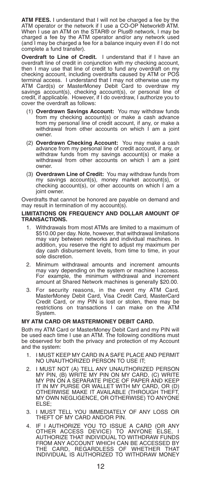**ATM FEES.** I understand that I will not be charged a fee by the ATM operator or the network if I use a CO-OP Network® ATM. When I use an ATM on the STAR® or Plus® network, I may be charged a fee by the ATM operator and/or any network used (and I may be charged a fee for a balance inquiry even if I do not complete a fund transfer).

**Overdraft to Line of Credit.** I understand that if I have an overdraft line of credit in conjunction with my checking account, then I may use that line of credit to fund any overdraft on my checking account, including overdrafts caused by ATM or POS terminal access. I understand that I may not otherwise use my ATM Card(s) or MasterMoney Debit Card to overdraw my savings account(s), checking account(s), or personal line of credit, if applicable. However, if I do overdraw, I authorize you to cover the overdraft as follows:

- (1) **Overdrawn Savings Account:** You may withdraw funds from my checking account(s) or make a cash advance from my personal line of credit account, if any, or make a withdrawal from other accounts on which I am a joint owner.
- (2) **Overdrawn Checking Account:** You may make a cash advance from my personal line of credit account, if any, or withdraw funds from my savings account(s) or make a withdrawal from other accounts on which I am a joint owner.
- (3) **Overdrawn Line of Credit:** You may withdraw funds from my savings account(s), money market account(s), or checking account(s), or other accounts on which I am a joint owner.

Overdrafts that cannot be honored are payable on demand and may result in termination of my account(s).

#### **LIMITATIONS ON FREQUENCY AND DOLLAR AMOUNT OF TRANSACTIONS.**

- Withdrawals from most ATMs are limited to a maximum of \$510.00 per day. Note, however, that withdrawal limitations may vary between networks and individual machines. In addition, you reserve the right to adjust my maximum per day cash disbursement levels, from time to time, in your sole discretion.
- 2. Minimum withdrawal amounts and increment amounts may vary depending on the system or machine I access. For example, the minimum withdrawal and increment amount at Shared Network machines is generally \$20.00.
- 3. For security reasons, in the event my ATM Card, MasterMoney Debit Card, Visa Credit Card, MasterCard Credit Card, or my PIN is lost or stolen, there may be restrictions on transactions I can make on the ATM System.

#### **MY ATM CARD OR MASTERMONEY DEBIT CARD.**

Both my ATM Card or MasterMoney Debit Card and my PIN will be used each time I use an ATM. The following conditions must be observed for both the privacy and protection of my Account and the system:

- 1. I MUST KEEP MY CARD IN A SAFE PLACE AND PERMIT NO UNAUTHORIZED PERSON TO USE IT;
- 2. I MUST NOT (A) TELL ANY UNAUTHORIZED PERSON MY PIN, (B) WRITE MY PIN ON MY CARD, (C) WRITE<br>MY PIN ON A SEPARATE PIECE OF PAPER AND KEEP<br>IT IN MY PURSE OR WALLET WITH MY CARD, OR (D)<br>OTHERWISE MAKE IT AVAILABLE (THROUGH THEFT, MY OWN NEGLIGENCE, OR OTHERWISE) TO ANYONE ELSE;
- 3. I MUST TELL YOU IMMEDIATELY OF ANY LOSS OR THEFT OF MY CARD AND/OR PIN.
- 4. IF I AUTHORIZE YOU TO ISSUE A CARD (OR ANY OTHER ACCESS DEVICE) TO ANYONE ELSE, I AUTHORIZE THAT INDIVIDUAL TO WITHDRAW FUNDS FROM ANY ACCOUNT WHICH CAN BE ACCESSED BY CARD, REGARDLESS OF WHETHER INDIVIDUAL IS AUTHORIZED TO WITHDRAW MONEY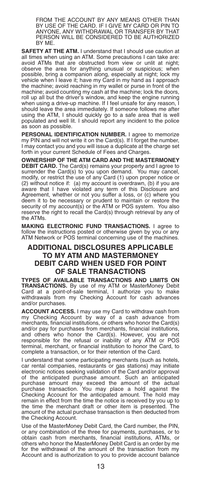FROM THE ACCOUNT BY ANY MEANS OTHER THAN BY USE OF THE CARD. IF I GIVE MY CARD OR PIN TO ANYONE, ANY WITHDRAWAL OR TRANSFER BY THAT PERSON WILL BE CONSIDERED TO BE AUTHORIZED BY ME.

**SAFETY AT THE ATM.** I understand that I should use caution at all times when using an ATM. Some precautions I can take are: avoid ATMs that are obstructed from view or unlit at night; observe the area for anything unusual or suspicious; when possible, bring a companion along, especially at night; lock my vehicle when I leave it; have my Card in my hand as I approach the machine; avoid reaching in my wallet or purse in front of the machine; avoid counting my cash at the machine; lock the doors, roll up all but the driver's window, and keep the engine running when using a drive-up machine. If I feel unsafe for any reason, I should leave the area immediately. If someone follows me after using the ATM, I should quickly go to a safe area that is well populated and well lit. I should report any incident to the police as soon as possible.

**PERSONAL IDENTIFICATION NUMBER.** I agree to memorize my PIN and will not write it on the Card(s). If I forget the number, I may contact you and you will issue a duplicate at the charge set forth in your current Schedule of Fees and Charges.

**OWNERSHIP OF THE ATM CARD AND THE MASTERMONEY DEBIT CARD.** The Card(s) remains your property and I agree to surrender the Card(s) to you upon demand. You may cancel, modify, or restrict the use of any Card (1) upon proper notice or (2) without notice if: (a) my account is overdrawn, (b) if you are aware that I have violated any term of this Disclosure and Agreement, whether or not you suffer a loss, or (c) where you deem it to be necessary or prudent to maintain or restore the security of my account(s) or the ATM or POS system. You also reserve the right to recall the Card(s) through retrieval by any of the ATMs.

**MAKING ELECTRONIC FUND TRANSACTIONS.** I agree to follow the instructions posted or otherwise given by you or any ATM Network or POS terminal concerning use of the machines.

## **ADDITIONAL DISCLOSURES APPLICABLE TO MY ATM AND MASTERMONEY DEBIT CARD WHEN USED FOR POINT OF SALE TRANSACTIONS**

**TYPES OF AVAILABLE TRANSACTIONS AND LIMITS ON TRANSACTIONS.** By use of my ATM or MasterMoney Debit Card at a point-of-sale terminal, I authorize you to make withdrawals from my Checking Account for cash advances and/or purchases.

**ACCOUNT ACCESS.** I may use my Card to withdraw cash from my Checking Account by way of a cash advance from merchants, financial institutions, or others who honor the Card(s) and/or pay for purchases from merchants, financial institutions, and others who honor the Card(s). However, you are not responsible for the refusal or inability of any ATM or POS terminal, merchant, or financial institution to honor the Card, to complete a transaction, or for their retention of the Card.

I understand that some participating merchants (such as hotels, car rental companies, restaurants or gas stations) may initiate electronic notices seeking validation of the Card and/or approval of the anticipated purchase amount. Such an anticipated purchase amount may exceed the amount of the actual purchase transaction. You may place a hold against the Checking Account for the anticipated amount. The hold may remain in effect from the time the notice is received by you up to the time the merchant draft or other item is presented. The the time the merchant draft or other item is presented. amount of the actual purchase transaction is then deducted from the Checking Account.

Use of the MasterMoney Debit Card, the Card number, the PIN, or any combination of the three for payments, purchases, or to obtain cash from merchants, financial institutions, ATMs, or others who honor the MasterMoney Debit Card is an order by me for the withdrawal of the amount of the transaction from my Account and is authorization to you to provide account balance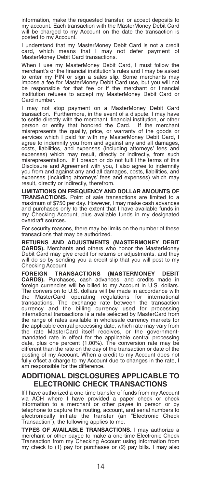information, make the requested transfer, or accept deposits to my account. Each transaction with the MasterMoney Debit Card will be charged to my Account on the date the transaction is posted to my Account.

I understand that my MasterMoney Debit Card is not a credit card, which means that I may not defer payment of MasterMoney Debit Card transactions.

When I use my MasterMoney Debit Card, I must follow the merchant's or the financial institution's rules and I may be asked to enter my PIN or sign a sales slip. Some merchants may impose a fee for MasterMoney Debit Card use, but you will not be responsible for that fee or if the merchant or financial institution refuses to accept my MasterMoney Debit Card or Card number.

I may not stop payment on a MasterMoney Debit Card transaction. Furthermore, in the event of a dispute, I may have to settle directly with the merchant, financial institution, or other person or entity that honored the Card. If the merchant misrepresents the quality, price, or warranty of the goods or services which I paid for with my MasterMoney Debit Card, I agree to indemnify you from and against any and all damages, costs, liabilities, and expenses (including attorneys' fees and expenses) which may result, directly or indirectly, from such misrepresentation. If I breach or do not fulfill the terms of this Disclosure and Agreement with you, I also agree to indemnify you from and against any and all damages, costs, liabilities, and expenses (including attorneys' fees and expenses) which may result, directly or indirectly, therefrom.

**LIMITATIONS ON FREQUENCY AND DOLLAR AMOUNTS OF TRANSACTIONS.** Point of sale transactions are limited to a maximum of \$750 per day. However, I may make cash advances and purchases only to the extent that I have available funds in my Checking Account, plus available funds in my designated overdraft sources.

For security reasons, there may be limits on the number of these transactions that may be authorized.

**RETURNS AND ADJUSTMENTS (MASTERMONEY DEBIT CARDS).** Merchants and others who honor the MasterMoney Debit Card may give credit for returns or adjustments, and they will do so by sending you a credit slip that you will post to my Checking Account.

**FOREIGN TRANSACTIONS (MASTERMONEY DEBIT CARDS).** Purchases, cash advances, and credits made in foreign currencies will be billed to my Account in U.S. dollars. The conversion to U.S. dollars will be made in accordance with the MasterCard operating regulations for international transactions. The exchange rate between the transaction currency and the billing currency used for processing international transactions is a rate selected by MasterCard from the range of rates available in wholesale currency markets for the applicable central processing date, which rate may vary from the rate MasterCard itself receives, or the government-mandated rate in effect for the applicable central processing date, plus one percent (1.00%). The conversion rate may be different than the rate on the day of the transaction or date of the posting of my Account. When a credit to my Account does not fully offset a charge to my Account due to changes in the rate, I am responsible for the difference.

## **ADDITIONAL DISCLOSURES APPLICABLE TO ELECTRONIC CHECK TRANSACTIONS**

If I have authorized a one-time transfer of funds from my Account via ACH where I have provided a paper check or check information to a merchant or other payee in person or by telephone to capture the routing, account, and serial numbers to electronically initiate the transfer (an "Electronic Check Transaction"), the following applies to me:

**TYPES OF AVAILABLE TRANSACTIONS.** I may authorize a merchant or other payee to make a one-time Electronic Check Transaction from my Checking Account using information from my check to (1) pay for purchases or (2) pay bills. I may also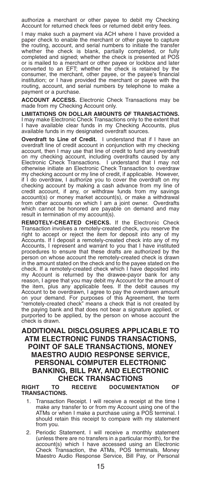authorize a merchant or other payee to debit my Checking Account for returned check fees or returned debit entry fees.

I may make such a payment via ACH where I have provided a paper check to enable the merchant or other payee to capture the routing, account, and serial numbers to initiate the transfer whether the check is blank, partially completed, or fully completed and signed; whether the check is presented at POS or is mailed to a merchant or other payee or lockbox and later converted to an EFT; whether the check is retained by the consumer, the merchant, other payee, or the payee's financial institution; or I have provided the merchant or payee with the routing, account, and serial numbers by telephone to make a payment or a purchase.

**ACCOUNT ACCESS.** Electronic Check Transactions may be made from my Checking Account only.

**LIMITATIONS ON DOLLAR AMOUNTS OF TRANSACTIONS.** I may make Electronic Check Transactions only to the extent that I have available clear funds in my Checking Accounts, plus available funds in my designated overdraft sources.

**Overdraft to Line of Credit.** I understand that if I have an overdraft line of credit account in conjunction with my checking account, then I may use that line of credit to fund any overdraft on my checking account, including overdrafts caused by any Electronic Check Transactions. I understand that I may not otherwise initiate an Electronic Check Transaction to overdraw my checking account or my line of credit, if applicable. However, if I do overdraw, I authorize you to cover the overdraft on my checking account by making a cash advance from my line of credit account, if any, or withdraw funds from my savings account(s) or money market account(s), or make a withdrawal from other accounts on which I am a joint owner. Overdrafts which cannot be honored are payable on demand and may result in termination of my account(s).

**REMOTELY-CREATED CHECKS.** If the Electronic Check Transaction involves a remotely-created check, you reserve the right to accept or reject the item for deposit into any of my Accounts. If I deposit a remotely-created check into any of my Accounts, I represent and warrant to you that I have instituted procedures to ensure that these drafts are authorized by the person on whose account the remotely-created check is drawn in the amount stated on the check and to the payee stated on the check. If a remotely-created check which I have deposited into my Account is returned by the drawee-payor bank for any reason, I agree that you may debit my Account for the amount of the item, plus any applicable fees. If the debit causes my Account to be overdrawn, I agree to pay the overdrawn amount on your demand. For purposes of this Agreement, the term "remotely-created check" means a check that is not created by the paying bank and that does not bear a signature applied, or purported to be applied, by the person on whose account the check is drawn.

## **ADDITIONAL DISCLOSURES APPLICABLE TO ATM ELECTRONIC FUNDS TRANSACTIONS, POINT OF SALE TRANSACTIONS, MONEY MAESTRO AUDIO RESPONSE SERVICE, PERSONAL COMPUTER ELECTRONIC BANKING, BILL PAY, AND ELECTRONIC CHECK TRANSACTIONS**

**RIGHT TO RECEIVE DOCUMENTATION OF TRANSACTIONS.**

- 1. Transaction Receipt. I will receive a receipt at the time I make any transfer to or from my Account using one of the ATMs or when I make a purchase using a POS terminal. I should retain this receipt to compare with my statement from you.
- 2. Periodic Statement. I will receive a monthly statement (unless there are no transfers in a particular month), for the account(s) which I have accessed using an Electronic Check Transaction, the ATMs, POS terminals, Money Maestro Audio Response Service, Bill Pay, or Personal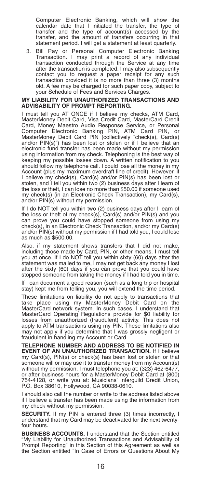Computer Electronic Banking, which will show the calendar date that I initiated the transfer, the type of transfer and the type of account(s) accessed by the transfer, and the amount of transfers occurring in that statement period. I will get a statement at least quarterly.

3. Bill Pay or Personal Computer Electronic Banking Transaction. I may print a record of any individual transaction conducted through the Service at any time after the transaction is completed. I may also subsequently contact you to request a paper receipt for any such transaction provided it is no more than three (3) months old. A fee may be charged for such paper copy, subject to your Schedule of Fees and Services Charges.

#### **MY LIABILITY FOR UNAUTHORIZED TRANSACTIONS AND ADVISABILITY OF PROMPT REPORTING.**

I must tell you AT ONCE if I believe my checks, ATM Card, MasterMoney Debit Card, Visa Credit Card, MasterCard Credit Card, Money Maestro Audio Response Service, or Personal Computer Electronic Banking PIN, ATM Card PIN, MasterMoney Debit Card PIN (collectively "check(s), Card(s) and/or PIN(s)") has been lost or stolen or if I believe that an electronic fund transfer has been made without my permission using information from my check. Telephoning is the best way of keeping my possible losses down. A written notification to you should follow my telephone call. I could lose all the money in my Account (plus my maximum overdraft line of credit). However, if I believe my check(s), Card(s) and/or PIN(s) has been lost or stolen, and I tell you within two (2) business days after I learn of the loss or theft, I can lose no more than \$50.00 if someone used my check(s) (in an Electronic Check Transaction), my Card(s), and/or PIN(s) without my permission.

If I do NOT tell you within two (2) business days after I learn of the loss or theft of my check(s), Card(s) and/or PIN(s) and you can prove you could have stopped someone from using my check(s), in an Electronic Check Transaction, and/or my Card(s) and/or PIN(s) without my permission if I had told you, I could lose as much as \$500.00.

Also, if my statement shows transfers that I did not make, including those made by Card, PIN, or other means, I must tell you at once. If I do NOT tell you within sixty (60) days after the statement was mailed to me, I may not get back any money I lost after the sixty (60) days if you can prove that you could have stopped someone from taking the money if I had told you in time.

If I can document a good reason (such as a long trip or hospital stay) kept me from telling you, you will extend the time period.

These limitations on liability do not apply to transactions that<br>take place using my MasterMoney Debit Card on the<br>MasterCard network system. In such cases, I understand that<br>MasterCard Operating Regulations provide for \$0 apply to ATM transactions using my PIN. These limitations also may not apply if you determine that I was grossly negligent or fraudulent in handling my Account or Card.

**TELEPHONE NUMBER AND ADDRESS TO BE NOTIFIED IN EVENT OF AN UNAUTHORIZED TRANSACTION.** If I believe my Card(s), PIN(s) or check(s) has been lost or stolen or that someone will or may use it to transfer money from my Account(s) without my permission, I must telephone you at: (323) 462-6477,<br>or after business hours for a MasterMoney Debit Card at (800)<br>754-4128, or write you at: Musicians' Interguild Credit Union,<br>P.O. Box 38610, Hollywood, CA 900

I should also call the number or write to the address listed above if I believe a transfer has been made using the information from my check without my permission.

**SECURITY.** If my PIN is entered three (3) times incorrectly, I understand that my Card may be deactivated for the next twentyfour hours.

**BUSINESS ACCOUNTS.** I understand that the Section entitled "My Liability for Unauthorized Transactions and Advisability of Prompt Reporting" in this Section of this Agreement as well as the Section entitled "In Case of Errors or Questions About My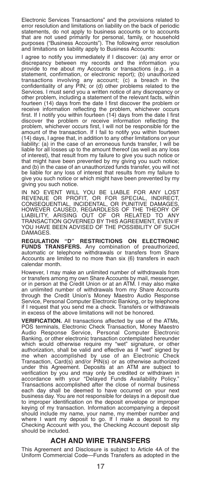Electronic Services Transactions" and the provisions related to error resolution and limitations on liability on the back of periodic statements, do not apply to business accounts or to accounts that are not used primarily for personal, family, or household purposes ("Business Accounts"). The following error resolution and limitations on liability apply to Business Accounts:

I agree to notify you immediately if I discover: (a) any error or discrepancy between my records and the information you provide to me about my Accounts or transactions (e.g., in a statement, confirmation, or electronic report); (b) unauthorized transactions involving any account; (c) a breach in the confidentiality of any PIN; or (d) other problems related to the Services. I must send you a written notice of any discrepancy or other problem, including a statement of the relevant facts, within fourteen (14) days from the date I first discover the problem or receive information reflecting the problem, whichever occurs first. If I notify you within fourteen (14) days from the date I first discover the problem or receive information reflecting the problem, whichever occurs first, I will not be responsible for the amount of the transaction. If I fail to notify you within fourteen (14) days, I agree that, in addition to any other limitations on your liability: (a) in the case of an erroneous funds transfer, I will be liable for all losses up to the amount thereof (as well as any loss of interest), that result from my failure to give you such notice or that might have been prevented by my giving you such notice; and (b) in the case of an unauthorized funds transfer, you will not be liable for any loss of interest that results from my failure to give you such notice or which might have been prevented by my giving you such notice.

IN NO EVENT WILL YOU BE LIABLE FOR ANY LOST REVENUE OR PROFIT, OR FOR SPECIAL, INDIRECT, CONSEQUENTIAL, INCIDENTAL, OR PUNITIVE DAMAGES, HOWEVER CAUSED, REGARDLESS OF THE THEORY OF<br>LIABILITY, ARISING OUT OF OR RELATED TO ANY<br>TRANSACTION GOVERNED BY THIS AGREEMENT, EVEN IF<br>YOU HAVE BEEN ADVISED OF THE POSSIBILITY OF SUCH DAMAGES.

**REGULATION "D" RESTRICTIONS ON ELECTRONIC FUNDS TRANSFERS.** Any combination of preauthorized, automatic or telephone withdrawals or transfers from Share Accounts are limited to no more than six (6) transfers in each calendar month.

However, I may make an unlimited number of withdrawals from or transfers among my own Share Accounts by mail, messenger, or in person at the Credit Union or at an ATM. I may also make an unlimited number of withdrawals from my Share Accounts through the Credit Union's Money Maestro Audio Response Service, Personal Computer Electronic Banking, or by telephone if I request that you send me a check. Transfers or withdrawals in excess of the above limitations will not be honored.

**VERIFICATION.** All transactions affected by use of the ATMs, POS terminals, Electronic Check Transaction, Money Maestro Audio Response Service, Personal Computer Electronic Banking, or other electronic transaction contemplated hereunder which would otherwise require my "wet" signature, or other authorization, shall be valid and effective as if "wet" signed by me when accomplished by use of an Electronic Check<br>Transaction, Card(s) and/or PIN(s) or as otherwise authorized<br>under this Agreement. Deposits at an ATM are subject to<br>verification by you and may only be credited or withd Transactions accomplished after the close of normal business each day shall be deemed to have occurred on your next business day. You are not responsible for delays in a deposit due to improper identification on the deposit envelope or improper keying of my transaction. Information accompanying a deposit should include my name, your name, my member number and where I want my deposit to go. If I make a deposit to my Checking Account with you, the Checking Account deposit slip should be included.

## **ACH AND WIRE TRANSFERS**

This Agreement and Disclosure is subject to Article 4A of the Uniform Commercial Code—Funds Transfers as adopted in the